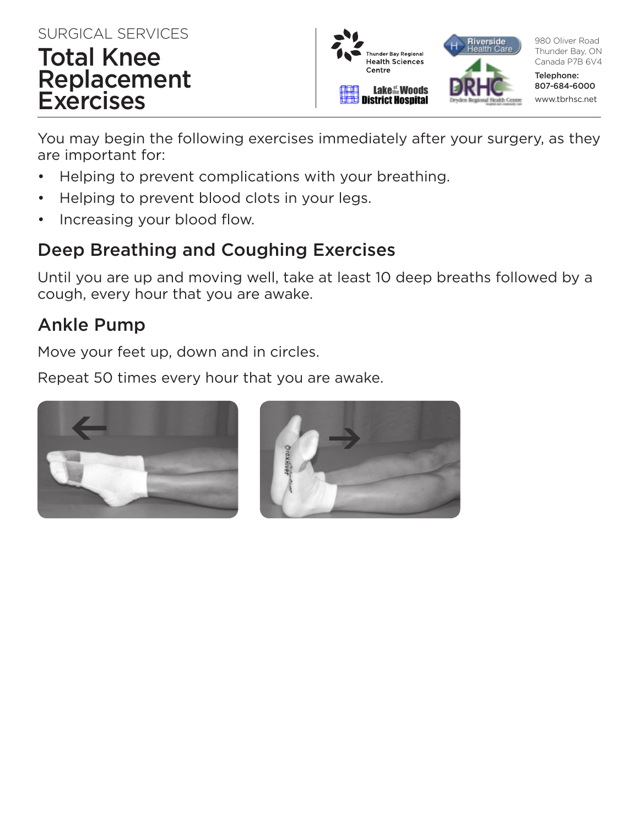#### SURGICAL SERVICES

# Total Knee Replacement **Exercises**



You may begin the following exercises immediately after your surgery, as they are important for:

- Helping to prevent complications with your breathing.
- Helping to prevent blood clots in your legs.
- Increasing your blood flow.

# Deep Breathing and Coughing Exercises

Until you are up and moving well, take at least 10 deep breaths followed by a cough, every hour that you are awake.

# Ankle Pump

Move your feet up, down and in circles.

Repeat 50 times every hour that you are awake.



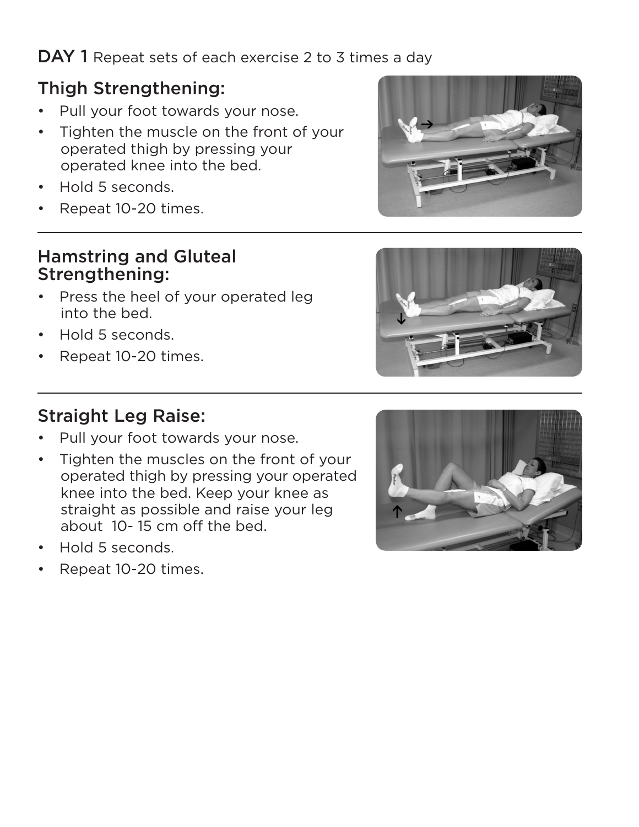#### DAY 1 Repeat sets of each exercise 2 to 3 times a day

#### Thigh Strengthening:

- Pull your foot towards your nose.
- Tighten the muscle on the front of your operated thigh by pressing your operated knee into the bed.
- Hold 5 seconds.
- Repeat 10-20 times.

#### Hamstring and Gluteal Strengthening:

- Press the heel of your operated leg into the bed.
- Hold 5 seconds.
- Repeat 10-20 times.

#### Straight Leg Raise:

- Pull your foot towards your nose.
- Tighten the muscles on the front of your operated thigh by pressing your operated knee into the bed. Keep your knee as straight as possible and raise your leg about 10- 15 cm off the bed.
- Hold 5 seconds.
- Repeat 10-20 times.





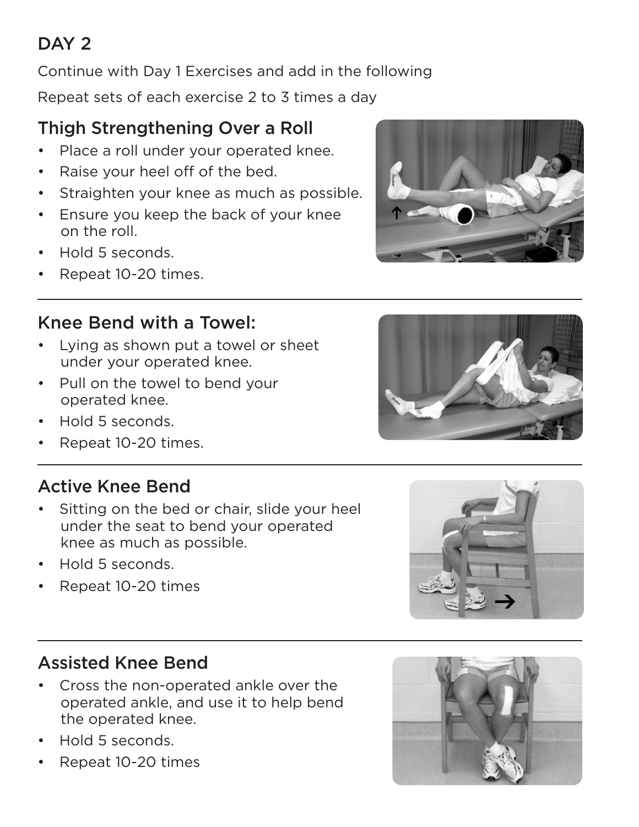# DAY<sub>2</sub>

Continue with Day 1 Exercises and add in the following

Repeat sets of each exercise 2 to 3 times a day

# Thigh Strengthening Over a Roll

- Place a roll under your operated knee.
- Raise your heel off of the bed.
- Straighten your knee as much as possible.
- Ensure you keep the back of your knee on the roll.
- Hold 5 seconds.
- Repeat 10-20 times.

# Knee Bend with a Towel:

- Lying as shown put a towel or sheet under your operated knee.
- Pull on the towel to bend your operated knee.
- Hold 5 seconds.
- Repeat 10-20 times.

# Active Knee Bend

- Sitting on the bed or chair, slide your heel under the seat to bend your operated knee as much as possible.
- Hold 5 seconds.
- Repeat 10-20 times

#### Assisted Knee Bend

- Cross the non-operated ankle over the operated ankle, and use it to help bend the operated knee.
- Hold 5 seconds.
- Repeat 10-20 times